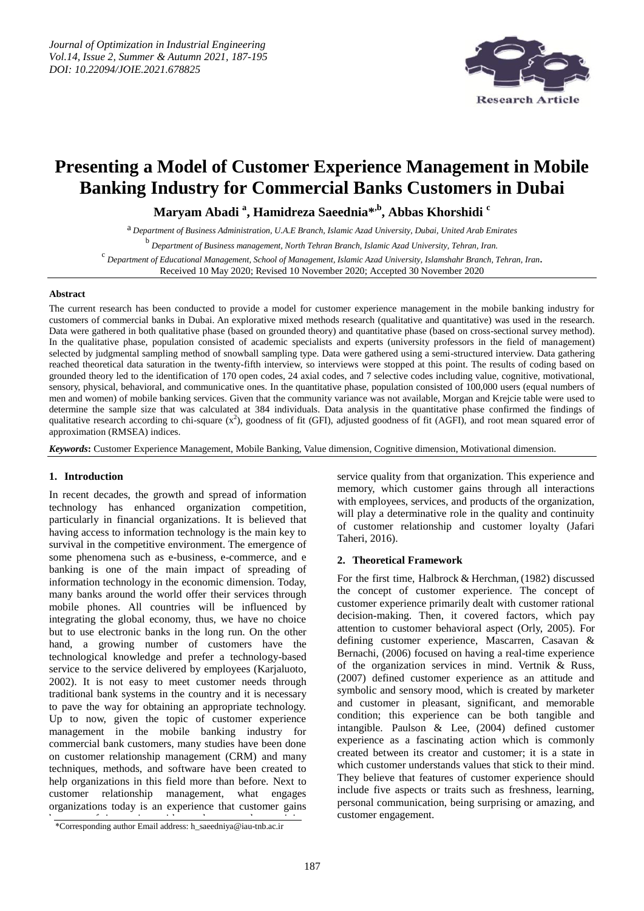

# **Presenting a Model of Customer Experience Management in Mobile Banking Industry for Commercial Banks Customers in Dubai**

**Maryam Abadi <sup>a</sup> , Hamidreza Saeednia\* ,b, Abbas Khorshidi <sup>c</sup>**

a *Department of Business Administration, U.A.E Branch, Islamic Azad University, Dubai, United Arab Emirates*

b *Department of Business management, North Tehran Branch, Islamic Azad University, Tehran, Iran.*

c *Department of Educational Management, School of Management, Islamic Azad University, Islamshahr Branch, Tehran, Iran.*

Received 10 May 2020; Revised 10 November 2020; Accepted 30 November 2020

# **Abstract**

The current research has been conducted to provide a model for customer experience management in the mobile banking industry for customers of commercial banks in Dubai. An explorative mixed methods research (qualitative and quantitative) was used in the research. Data were gathered in both qualitative phase (based on grounded theory) and quantitative phase (based on cross-sectional survey method). In the qualitative phase, population consisted of academic specialists and experts (university professors in the field of management) selected by judgmental sampling method of snowball sampling type. Data were gathered using a semi-structured interview. Data gathering reached theoretical data saturation in the twenty-fifth interview, so interviews were stopped at this point. The results of coding based on grounded theory led to the identification of 170 open codes, 24 axial codes, and 7 selective codes including value, cognitive, motivational, sensory, physical, behavioral, and communicative ones. In the quantitative phase, population consisted of 100,000 users (equal numbers of men and women) of mobile banking services. Given that the community variance was not available, Morgan and Krejcie table were used to determine the sample size that was calculated at 384 individuals. Data analysis in the quantitative phase confirmed the findings of qualitative research according to chi-square  $(x^2)$ , goodness of fit (GFI), adjusted goodness of fit (AGFI), and root mean squared error of approximation (RMSEA) indices.

*Keywords***:** Customer Experience Management, Mobile Banking, Value dimension, Cognitive dimension, Motivational dimension.

# **1. Introduction**

In recent decades, the growth and spread of information technology has enhanced organization competition, particularly in financial organizations. It is believed that having access to information technology is the main key to survival in the competitive environment. The emergence of some phenomena such as e-business, e-commerce, and e banking is one of the main impact of spreading of information technology in the economic dimension. Today, many banks around the world offer their services through mobile phones. All countries will be influenced by integrating the global economy, thus, we have no choice but to use electronic banks in the long run. On the other hand, a growing number of customers have the technological knowledge and prefer a technology-based service to the service delivered by employees (Karjaluoto, 2002). It is not easy to meet customer needs through traditional bank systems in the country and it is necessary to pave the way for obtaining an appropriate technology. Up to now, given the topic of customer experience management in the mobile banking industry for commercial bank customers, many studies have been done on customer relationship management (CRM) and many techniques, methods, and software have been created to help organizations in this field more than before. Next to customer relationship management, what engages organizations today is an experience that customer gains

service quality from that organization. This experience and memory, which customer gains through all interactions with employees, services, and products of the organization, will play a determinative role in the quality and continuity of customer relationship and customer loyalty (Jafari Taheri, 2016).

# **2. Theoretical Framework**

For the first time, Halbrock & Herchman, (1982) discussed the concept of customer experience. The concept of customer experience primarily dealt with customer rational decision-making. Then, it covered factors, which pay attention to customer behavioral aspect (Orly, 2005). For defining customer experience, Mascarren, Casavan & Bernachi, (2006) focused on having a real-time experience of the organization services in mind. Vertnik & Russ, (2007) defined customer experience as an attitude and symbolic and sensory mood, which is created by marketer and customer in pleasant, significant, and memorable condition; this experience can be both tangible and intangible. Paulson & Lee, (2004) defined customer experience as a fascinating action which is commonly created between its creator and customer; it is a state in which customer understands values that stick to their mind. They believe that features of customer experience should include five aspects or traits such as freshness, learning, personal communication, being surprising or amazing, and customer engagement.

<sup>\*</sup>Corresponding author Email address: h\_saeedniya@iau-tnb.ac.ir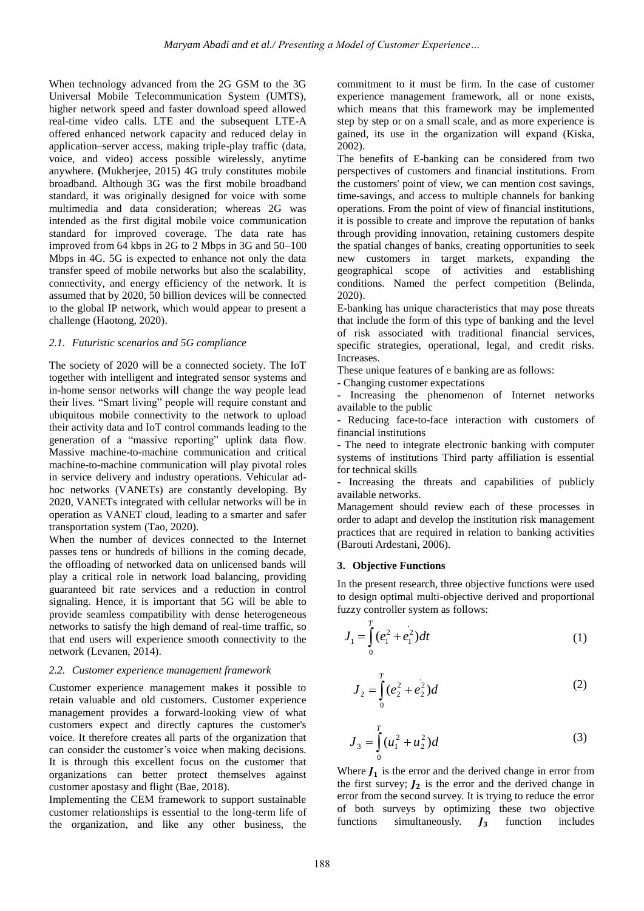When technology advanced from the 2G GSM to the 3G Universal Mobile Telecommunication System (UMTS), higher network speed and faster download speed allowed real-time video calls. LTE and the subsequent LTE-A offered enhanced network capacity and reduced delay in application–server access, making triple-play traffic (data, voice, and video) access possible wirelessly, anytime anywhere. **(**Mukherjee, 2015) 4G truly constitutes mobile broadband. Although 3G was the first mobile broadband standard, it was originally designed for voice with some multimedia and data consideration; whereas 2G was intended as the first digital mobile voice communication standard for improved coverage. The data rate has improved from 64 kbps in 2G to 2 Mbps in 3G and 50–100 Mbps in 4G. 5G is expected to enhance not only the data transfer speed of mobile networks but also the scalability, connectivity, and energy efficiency of the network. It is assumed that by 2020, 50 billion devices will be connected to the global IP network, which would appear to present a challenge (Haotong, 2020).

# *2.1. Futuristic scenarios and 5G compliance*

The society of 2020 will be a connected society. The IoT together with intelligent and integrated sensor systems and in-home sensor networks will change the way people lead their lives. "Smart living" people will require constant and ubiquitous mobile connectivity to the network to upload their activity data and IoT control commands leading to the generation of a "massive reporting" uplink data flow. Massive machine-to-machine communication and critical machine-to-machine communication will play pivotal roles in service delivery and industry operations. Vehicular adhoc networks (VANETs) are constantly developing. By 2020, VANETs integrated with cellular networks will be in operation as VANET cloud, leading to a smarter and safer transportation system (Tao, 2020).

When the number of devices connected to the Internet passes tens or hundreds of billions in the coming decade, the offloading of networked data on unlicensed bands will play a critical role in network load balancing, providing guaranteed bit rate services and a reduction in control signaling. Hence, it is important that 5G will be able to provide seamless compatibility with dense heterogeneous networks to satisfy the high demand of real-time traffic, so that end users will experience smooth connectivity to the network (Levanen, 2014).

# *2.2. Customer experience management framework*

Customer experience management makes it possible to retain valuable and old customers. Customer experience management provides a forward-looking view of what customers expect and directly captures the customer's voice. It therefore creates all parts of the organization that can consider the customer's voice when making decisions. It is through this excellent focus on the customer that organizations can better protect themselves against customer apostasy and flight (Bae, 2018).

Implementing the CEM framework to support sustainable customer relationships is essential to the long-term life of the organization, and like any other business, the

commitment to it must be firm. In the case of customer experience management framework, all or none exists, which means that this framework may be implemented step by step or on a small scale, and as more experience is gained, its use in the organization will expand (Kiska, 2002).

The benefits of E-banking can be considered from two perspectives of customers and financial institutions. From the customers' point of view, we can mention cost savings, time-savings, and access to multiple channels for banking operations. From the point of view of financial institutions, it is possible to create and improve the reputation of banks through providing innovation, retaining customers despite the spatial changes of banks, creating opportunities to seek new customers in target markets, expanding the geographical scope of activities and establishing conditions. Named the perfect competition (Belinda, 2020).

E-banking has unique characteristics that may pose threats that include the form of this type of banking and the level of risk associated with traditional financial services, specific strategies, operational, legal, and credit risks. Increases.

These unique features of e banking are as follows:

- Changing customer expectations

Increasing the phenomenon of Internet networks available to the public

- Reducing face-to-face interaction with customers of financial institutions

- The need to integrate electronic banking with computer systems of institutions Third party affiliation is essential for technical skills

- Increasing the threats and capabilities of publicly available networks.

Management should review each of these processes in order to adapt and develop the institution risk management practices that are required in relation to banking activities (Barouti Ardestani, 2006).

# **3. Objective Functions**

In the present research, three objective functions were used to design optimal multi-objective derived and proportional fuzzy controller system as follows:

$$
J_1 = \int_0^T (e_1^2 + e_1^2) dt
$$
 (1)

$$
J_2 = \int_0^T (e_2^2 + e_2^2) d
$$
 (2)

$$
J_3 = \int_0^T (u_1^2 + u_2^2) d
$$
 (3)

Where  $J_1$  is the error and the derived change in error from the first survey;  $J_2$  is the error and the derived change in error from the second survey. It is trying to reduce the error of both surveys by optimizing these two objective functions simultaneously.  $J_3$  function includes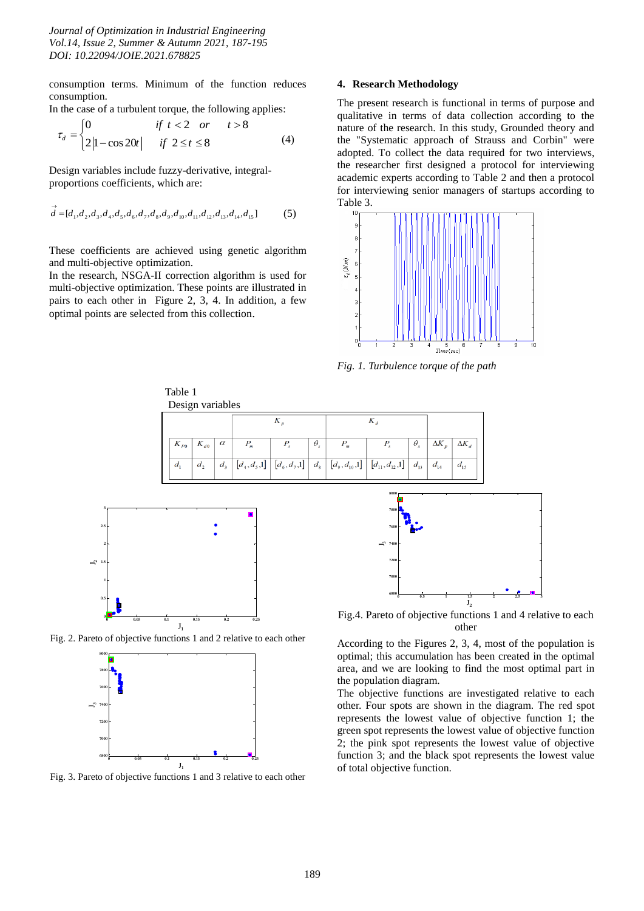consumption terms. Minimum of the function reduces consumption.

In the case of a turbulent torque, the following applies:  
\n
$$
\tau_d = \begin{cases}\n0 & \text{if } t < 2 \text{ or } t > 8 \\
2|1 - \cos 20t| & \text{if } 2 \le t \le 8\n\end{cases}
$$
\n(4)

Design variables include fuzzy-derivative, integralproportions coefficients, which are:

$$
\vec{d} = [d_1, d_2, d_3, d_4, d_5, d_6, d_7, d_8, d_9, d_{10}, d_{11}, d_{12}, d_{13}, d_{14}, d_{15}]
$$
 (5)

These coefficients are achieved using genetic algorithm and multi-objective optimization.

In the research, NSGA-II correction algorithm is used for multi-objective optimization. These points are illustrated in pairs to each other in Figure 2, 3, 4. In addition, a few optimal points are selected from this collection.

# **4. Research Methodology**

The present research is functional in terms of purpose and qualitative in terms of data collection according to the nature of the research. In this study, Grounded theory and the "Systematic approach of Strauss and Corbin" were adopted. To collect the data required for two interviews, the researcher first designed a protocol for interviewing academic experts according to Table 2 and then a protocol for interviewing senior managers of startups according to Table 3.



*Fig. 1. Turbulence torque of the path*





Fig. 2. Pareto of objective functions 1 and 2 relative to each other



Fig. 3. Pareto of objective functions 1 and 3 relative to each other



Fig.4. Pareto of objective functions 1 and 4 relative to each other

According to the Figures 2, 3, 4, most of the population is optimal; this accumulation has been created in the optimal area, and we are looking to find the most optimal part in the population diagram.

The objective functions are investigated relative to each other. Four spots are shown in the diagram. The red spot represents the lowest value of objective function 1; the green spot represents the lowest value of objective function 2; the pink spot represents the lowest value of objective function 3; and the black spot represents the lowest value of total objective function.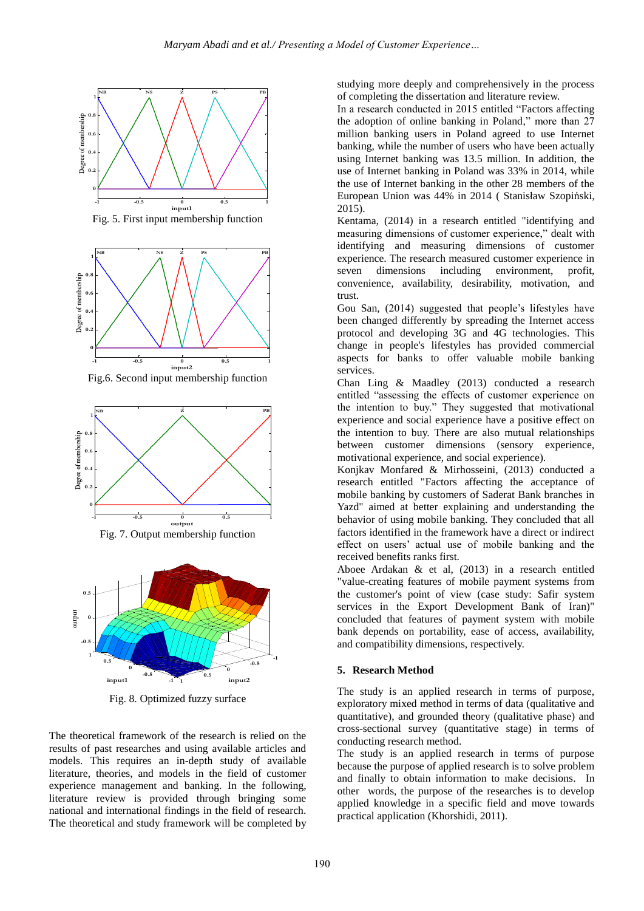

Fig. 5. First input membership function



Fig.6. Second input membership function



Fig. 7. Output membership function



Fig. 8. Optimized fuzzy surface

The theoretical framework of the research is relied on the results of past researches and using available articles and models. This requires an in-depth study of available literature, theories, and models in the field of customer experience management and banking. In the following, literature review is provided through bringing some national and international findings in the field of research. The theoretical and study framework will be completed by studying more deeply and comprehensively in the process of completing the dissertation and literature review.

In a research conducted in 2015 entitled "Factors affecting" the adoption of online banking in Poland," more than 27 million banking users in Poland agreed to use Internet banking, while the number of users who have been actually using Internet banking was 13.5 million. In addition, the use of Internet banking in Poland was 33% in 2014, while the use of Internet banking in the other 28 members of the European Union was 44% in 2014 ( Stanisław Szopiński, 2015).

Kentama, (2014) in a research entitled "identifying and measuring dimensions of customer experience," dealt with identifying and measuring dimensions of customer experience. The research measured customer experience in seven dimensions including environment, profit, convenience, availability, desirability, motivation, and trust.

Gou San, (2014) suggested that people's lifestyles have been changed differently by spreading the Internet access protocol and developing 3G and 4G technologies. This change in people's lifestyles has provided commercial aspects for banks to offer valuable mobile banking services.

Chan Ling & Maadley (2013) conducted a research entitled "assessing the effects of customer experience on the intention to buy." They suggested that motivational experience and social experience have a positive effect on the intention to buy. There are also mutual relationships between customer dimensions (sensory experience, motivational experience, and social experience).

Konjkav Monfared & Mirhosseini, (2013) conducted a research entitled "Factors affecting the acceptance of mobile banking by customers of Saderat Bank branches in Yazd" aimed at better explaining and understanding the behavior of using mobile banking. They concluded that all factors identified in the framework have a direct or indirect effect on users' actual use of mobile banking and the received benefits ranks first.

Aboee Ardakan & et al, (2013) in a research entitled "value-creating features of mobile payment systems from the customer's point of view (case study: Safir system services in the Export Development Bank of Iran)" concluded that features of payment system with mobile bank depends on portability, ease of access, availability, and compatibility dimensions, respectively.

# **5. Research Method**

The study is an applied research in terms of purpose, exploratory mixed method in terms of data (qualitative and quantitative), and grounded theory (qualitative phase) and cross-sectional survey (quantitative stage) in terms of conducting research method.

The study is an applied research in terms of purpose because the purpose of applied research is to solve problem and finally to obtain information to make decisions. In other words, the purpose of the researches is to develop applied knowledge in a specific field and move towards practical application (Khorshidi, 2011).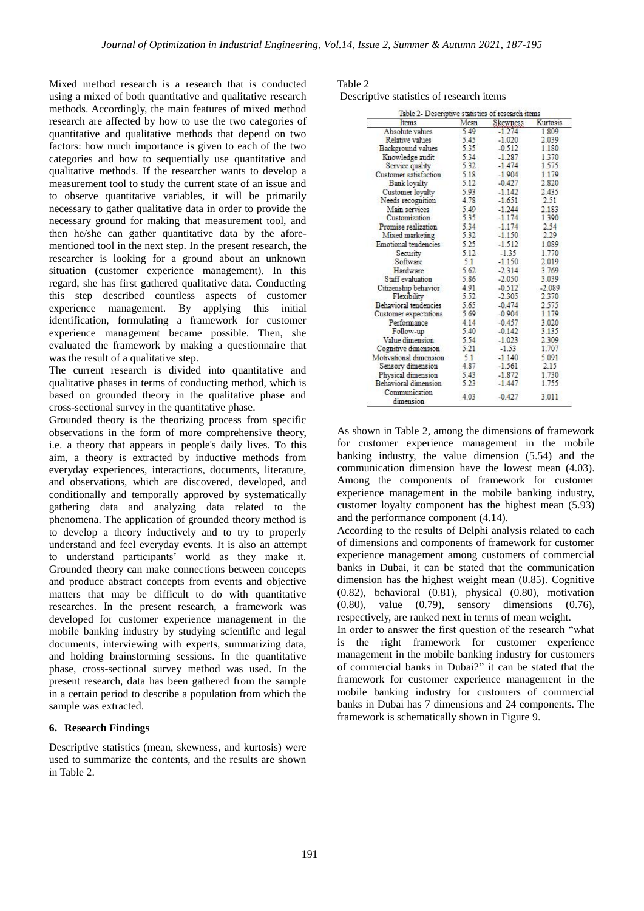Mixed method research is a research that is conducted using a mixed of both quantitative and qualitative research methods. Accordingly, the main features of mixed method research are affected by how to use the two categories of quantitative and qualitative methods that depend on two factors: how much importance is given to each of the two categories and how to sequentially use quantitative and qualitative methods. If the researcher wants to develop a measurement tool to study the current state of an issue and to observe quantitative variables, it will be primarily necessary to gather qualitative data in order to provide the necessary ground for making that measurement tool, and then he/she can gather quantitative data by the aforementioned tool in the next step. In the present research, the researcher is looking for a ground about an unknown situation (customer experience management). In this regard, she has first gathered qualitative data. Conducting this step described countless aspects of customer experience management. By applying this initial identification, formulating a framework for customer experience management became possible. Then, she evaluated the framework by making a questionnaire that was the result of a qualitative step.

The current research is divided into quantitative and qualitative phases in terms of conducting method, which is based on grounded theory in the qualitative phase and cross-sectional survey in the quantitative phase.

Grounded theory is the theorizing process from specific observations in the form of more comprehensive theory, i.e. a theory that appears in people's daily lives. To this aim, a theory is extracted by inductive methods from everyday experiences, interactions, documents, literature, and observations, which are discovered, developed, and conditionally and temporally approved by systematically gathering data and analyzing data related to the phenomena. The application of grounded theory method is to develop a theory inductively and to try to properly understand and feel everyday events. It is also an attempt to understand participants' world as they make it. Grounded theory can make connections between concepts and produce abstract concepts from events and objective matters that may be difficult to do with quantitative researches. In the present research, a framework was developed for customer experience management in the mobile banking industry by studying scientific and legal documents, interviewing with experts, summarizing data, and holding brainstorming sessions. In the quantitative phase, cross-sectional survey method was used. In the present research, data has been gathered from the sample in a certain period to describe a population from which the sample was extracted.

# **6. Research Findings**

Descriptive statistics (mean, skewness, and kurtosis) were used to summarize the contents, and the results are shown in Table 2.

Table 2 Descriptive statistics of research items

| Items                      | Mean | Skewness | <b>Kurtosis</b> |  |
|----------------------------|------|----------|-----------------|--|
| Absolute values            | 5.49 | $-1.274$ | 1.809           |  |
| Relative values            | 5.45 | $-1.020$ | 2.039           |  |
| Background values          | 5.35 | $-0.512$ | 1.180           |  |
| Knowledge audit            | 5.34 | $-1.287$ | 1.370           |  |
| Service quality            | 5.32 | $-1.474$ | 1.575           |  |
| Customer satisfaction      | 5.18 | $-1.904$ | 1.179           |  |
| <b>Bank loyalty</b>        | 5.12 | $-0.427$ | 2.820           |  |
| Customer loyalty           | 5.93 | $-1.142$ | 2.435           |  |
| Needs recognition          | 4.78 | $-1.651$ | 2.51            |  |
| Main services              | 5.49 | $-1.244$ | 2.183           |  |
| Customization              | 5.35 | $-1.174$ | 1.390           |  |
| Promise realization        | 5.34 | $-1.174$ | 2.54            |  |
| Mixed marketing            | 5.32 | $-1.150$ | 2.29            |  |
| Emotional tendencies       | 5.25 | $-1.512$ | 1.089           |  |
| Security                   | 5.12 | $-1.35$  | 1.770           |  |
| Software                   | 5.1  | $-1.150$ | 2.019           |  |
| Hardware                   | 5.62 | $-2.314$ | 3.769           |  |
| Staff evaluation           | 5.86 | $-2.050$ | 3.039           |  |
| Citizenship behavior       | 4.91 | $-0.512$ | $-2.089$        |  |
| Flexibility                | 5.52 | $-2.305$ | 2.370           |  |
| Behavioral tendencies      | 5.65 | $-0.474$ | 2.575           |  |
| Customer expectations      | 5.69 | $-0.904$ | 1.179           |  |
| Performance                | 4.14 | $-0.457$ | 3.020           |  |
| Follow-up                  | 5.40 | $-0.142$ | 3.135           |  |
| Value dimension            | 5.54 | $-1.023$ | 2.309           |  |
| Cognitive dimension        | 5.21 | $-1.53$  | 1.707           |  |
| Motivational dimension     | 5.1  | $-1.140$ | 5.091           |  |
| Sensory dimension          | 4.87 | $-1.561$ | 2.15            |  |
| Physical dimension         | 5.43 | $-1.872$ | 1.730           |  |
| Behavioral dimension       | 5.23 | $-1.447$ | 1.755           |  |
| Communication<br>dimension | 4.03 | $-0.427$ | 3.011           |  |

As shown in Table 2, among the dimensions of framework for customer experience management in the mobile banking industry, the value dimension (5.54) and the communication dimension have the lowest mean (4.03). Among the components of framework for customer experience management in the mobile banking industry, customer loyalty component has the highest mean (5.93) and the performance component (4.14).

According to the results of Delphi analysis related to each of dimensions and components of framework for customer experience management among customers of commercial banks in Dubai, it can be stated that the communication dimension has the highest weight mean (0.85). Cognitive (0.82), behavioral (0.81), physical (0.80), motivation (0.80), value (0.79), sensory dimensions (0.76), respectively, are ranked next in terms of mean weight.

In order to answer the first question of the research "what is the right framework for customer experience management in the mobile banking industry for customers of commercial banks in Dubai?" it can be stated that the framework for customer experience management in the mobile banking industry for customers of commercial banks in Dubai has 7 dimensions and 24 components. The framework is schematically shown in Figure 9.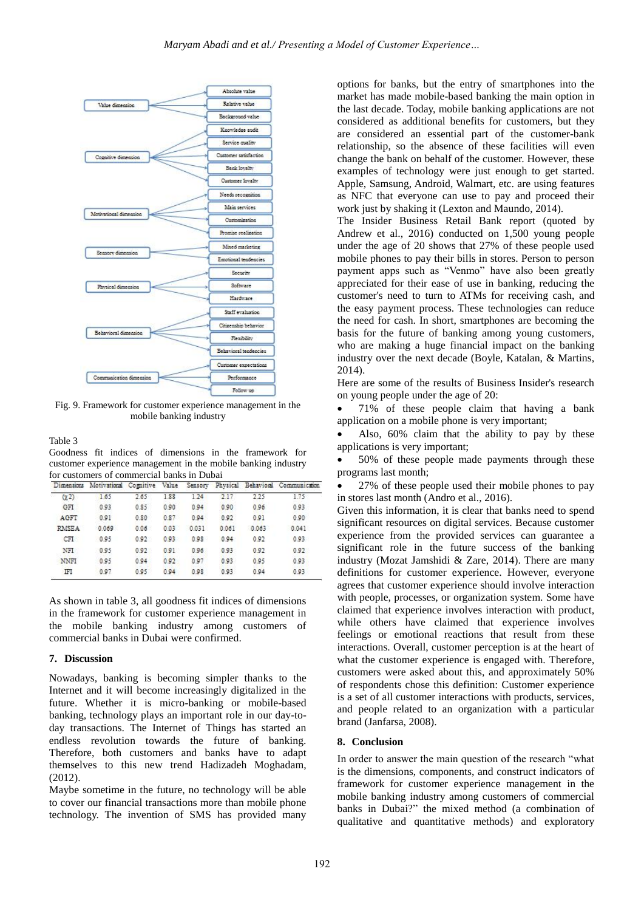

Fig. 9. Framework for customer experience management in the mobile banking industry

Table 3

Goodness fit indices of dimensions in the framework for customer experience management in the mobile banking industry for customers of commercial banks in Dubai

| Dimensions   | Motivational | Comitive | Value | Sensory |       |       | Physical Behavioral Communication |
|--------------|--------------|----------|-------|---------|-------|-------|-----------------------------------|
| (22)         | 1.65         | 2.65     | 1.88  | 124     | 2.17  | 225   | 1.75                              |
| GFI          | 0.93         | 0.85     | 0.90  | 0.94    | 0.90  | 0.96  | 0.93                              |
| AGFT         | 0.91         | 0.80     | 0.87  | 0.94    | 0.92  | 0.91  | 0.90                              |
| <b>RMSEA</b> | 0.069        | 0.06     | 0.03  | 0.031   | 0.061 | 0.063 | 0.041                             |
| CFI          | 0.95         | 0.92     | 0.93  | 0.98    | 0.94  | 0.92  | 0.93                              |
| NFI          | 0.95         | 0.92     | 0.91  | 0.96    | 0.93  | 0.92  | 0.92                              |
| <b>NNFI</b>  | 0.95         | 0.94     | 0.92  | 0.97    | 0.93  | 0.95  | 0.93                              |
| ΙFΙ          | 0.97         | 0.95     | 0.94  | 0.98    | 0.93  | 0.94  | 0.93                              |

As shown in table 3, all goodness fit indices of dimensions in the framework for customer experience management in the mobile banking industry among customers of commercial banks in Dubai were confirmed.

# **7. Discussion**

Nowadays, banking is becoming simpler thanks to the Internet and it will become increasingly digitalized in the future. Whether it is micro-banking or mobile-based banking, technology plays an important role in our day-today transactions. The Internet of Things has started an endless revolution towards the future of banking. Therefore, both customers and banks have to adapt themselves to this new trend Hadizadeh Moghadam, (2012).

Maybe sometime in the future, no technology will be able to cover our financial transactions more than mobile phone technology. The invention of SMS has provided many options for banks, but the entry of smartphones into the market has made mobile-based banking the main option in the last decade. Today, mobile banking applications are not considered as additional benefits for customers, but they are considered an essential part of the customer-bank relationship, so the absence of these facilities will even change the bank on behalf of the customer. However, these examples of technology were just enough to get started. Apple, Samsung, Android, Walmart, etc. are using features as NFC that everyone can use to pay and proceed their work just by shaking it (Lexton and Maundo, 2014).

The Insider Business Retail Bank report (quoted by Andrew et al., 2016) conducted on 1,500 young people under the age of 20 shows that 27% of these people used mobile phones to pay their bills in stores. Person to person payment apps such as "Venmo" have also been greatly appreciated for their ease of use in banking, reducing the customer's need to turn to ATMs for receiving cash, and the easy payment process. These technologies can reduce the need for cash. In short, smartphones are becoming the basis for the future of banking among young customers, who are making a huge financial impact on the banking industry over the next decade (Boyle, Katalan, & Martins, 2014).

Here are some of the results of Business Insider's research on young people under the age of 20:

• 71% of these people claim that having a bank application on a mobile phone is very important;

• Also, 60% claim that the ability to pay by these applications is very important;

 50% of these people made payments through these programs last month;

 27% of these people used their mobile phones to pay in stores last month (Andro et al., 2016).

Given this information, it is clear that banks need to spend significant resources on digital services. Because customer experience from the provided services can guarantee a significant role in the future success of the banking industry (Mozat Jamshidi & Zare, 2014). There are many definitions for customer experience. However, everyone agrees that customer experience should involve interaction with people, processes, or organization system. Some have claimed that experience involves interaction with product, while others have claimed that experience involves feelings or emotional reactions that result from these interactions. Overall, customer perception is at the heart of what the customer experience is engaged with. Therefore, customers were asked about this, and approximately 50% of respondents chose this definition: Customer experience is a set of all customer interactions with products, services, and people related to an organization with a particular brand (Janfarsa, 2008).

# **8. Conclusion**

In order to answer the main question of the research "what is the dimensions, components, and construct indicators of framework for customer experience management in the mobile banking industry among customers of commercial banks in Dubai?" the mixed method (a combination of qualitative and quantitative methods) and exploratory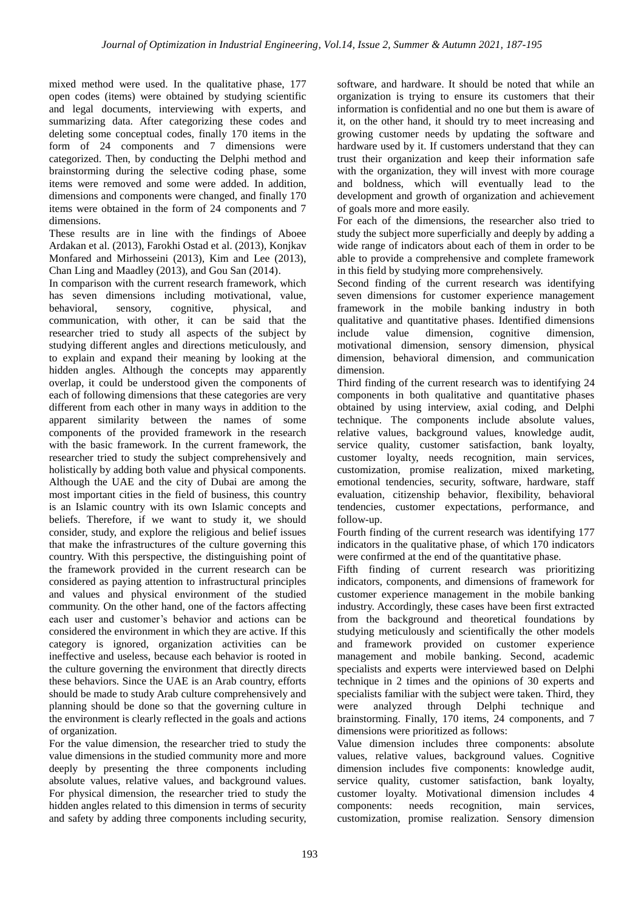mixed method were used. In the qualitative phase, 177 open codes (items) were obtained by studying scientific and legal documents, interviewing with experts, and summarizing data. After categorizing these codes and deleting some conceptual codes, finally 170 items in the form of 24 components and 7 dimensions were categorized. Then, by conducting the Delphi method and brainstorming during the selective coding phase, some items were removed and some were added. In addition, dimensions and components were changed, and finally 170 items were obtained in the form of 24 components and 7 dimensions.

These results are in line with the findings of Aboee Ardakan et al. (2013), Farokhi Ostad et al. (2013), Konjkav Monfared and Mirhosseini (2013), Kim and Lee (2013), Chan Ling and Maadley (2013), and Gou San (2014).

In comparison with the current research framework, which has seven dimensions including motivational, value, behavioral, sensory, cognitive, physical, and communication, with other, it can be said that the researcher tried to study all aspects of the subject by studying different angles and directions meticulously, and to explain and expand their meaning by looking at the hidden angles. Although the concepts may apparently overlap, it could be understood given the components of each of following dimensions that these categories are very different from each other in many ways in addition to the apparent similarity between the names of some components of the provided framework in the research with the basic framework. In the current framework, the researcher tried to study the subject comprehensively and holistically by adding both value and physical components. Although the UAE and the city of Dubai are among the most important cities in the field of business, this country is an Islamic country with its own Islamic concepts and beliefs. Therefore, if we want to study it, we should consider, study, and explore the religious and belief issues that make the infrastructures of the culture governing this country. With this perspective, the distinguishing point of the framework provided in the current research can be considered as paying attention to infrastructural principles and values and physical environment of the studied community. On the other hand, one of the factors affecting each user and customer's behavior and actions can be considered the environment in which they are active. If this category is ignored, organization activities can be ineffective and useless, because each behavior is rooted in the culture governing the environment that directly directs these behaviors. Since the UAE is an Arab country, efforts should be made to study Arab culture comprehensively and planning should be done so that the governing culture in the environment is clearly reflected in the goals and actions of organization.

For the value dimension, the researcher tried to study the value dimensions in the studied community more and more deeply by presenting the three components including absolute values, relative values, and background values. For physical dimension, the researcher tried to study the hidden angles related to this dimension in terms of security and safety by adding three components including security, software, and hardware. It should be noted that while an organization is trying to ensure its customers that their information is confidential and no one but them is aware of it, on the other hand, it should try to meet increasing and growing customer needs by updating the software and hardware used by it. If customers understand that they can trust their organization and keep their information safe with the organization, they will invest with more courage and boldness, which will eventually lead to the development and growth of organization and achievement of goals more and more easily.

For each of the dimensions, the researcher also tried to study the subject more superficially and deeply by adding a wide range of indicators about each of them in order to be able to provide a comprehensive and complete framework in this field by studying more comprehensively.

Second finding of the current research was identifying seven dimensions for customer experience management framework in the mobile banking industry in both qualitative and quantitative phases. Identified dimensions include value dimension, cognitive dimension, motivational dimension, sensory dimension, physical dimension, behavioral dimension, and communication dimension.

Third finding of the current research was to identifying 24 components in both qualitative and quantitative phases obtained by using interview, axial coding, and Delphi technique. The components include absolute values, relative values, background values, knowledge audit, service quality, customer satisfaction, bank loyalty, customer loyalty, needs recognition, main services, customization, promise realization, mixed marketing, emotional tendencies, security, software, hardware, staff evaluation, citizenship behavior, flexibility, behavioral tendencies, customer expectations, performance, and follow-up.

Fourth finding of the current research was identifying 177 indicators in the qualitative phase, of which 170 indicators were confirmed at the end of the quantitative phase.

Fifth finding of current research was prioritizing indicators, components, and dimensions of framework for customer experience management in the mobile banking industry. Accordingly, these cases have been first extracted from the background and theoretical foundations by studying meticulously and scientifically the other models and framework provided on customer experience management and mobile banking. Second, academic specialists and experts were interviewed based on Delphi technique in 2 times and the opinions of 30 experts and specialists familiar with the subject were taken. Third, they<br>were analyzed through Delphi technique and were analyzed through Delphi technique and brainstorming. Finally, 170 items, 24 components, and 7 dimensions were prioritized as follows:

Value dimension includes three components: absolute values, relative values, background values. Cognitive dimension includes five components: knowledge audit, service quality, customer satisfaction, bank loyalty, customer loyalty. Motivational dimension includes 4 components: needs recognition, main services, customization, promise realization. Sensory dimension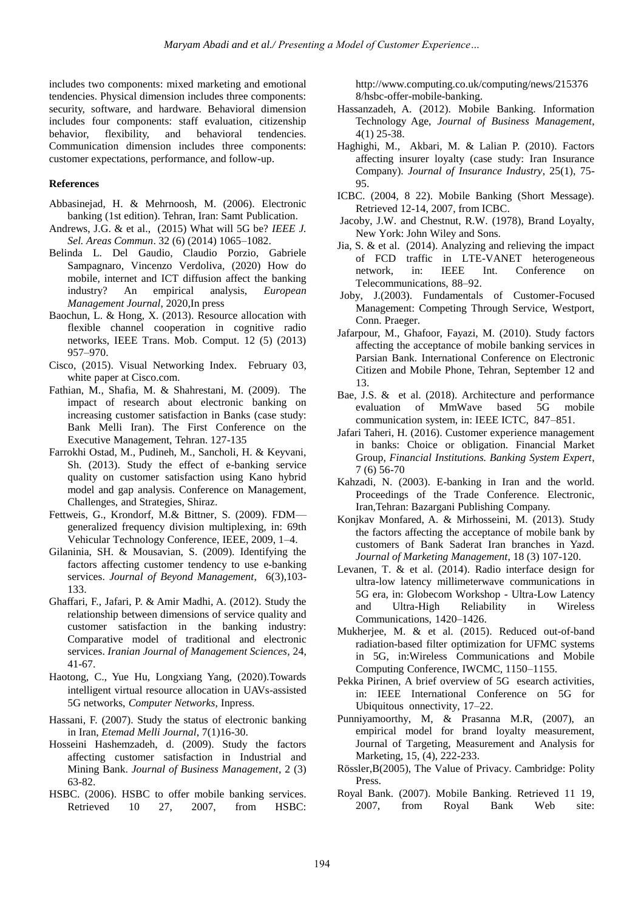includes two components: mixed marketing and emotional tendencies. Physical dimension includes three components: security, software, and hardware. Behavioral dimension includes four components: staff evaluation, citizenship behavior, flexibility, and behavioral tendencies. Communication dimension includes three components: customer expectations, performance, and follow-up.

# **References**

- Abbasinejad, H. & Mehrnoosh, M. (2006). Electronic banking (1st edition). Tehran, Iran: Samt Publication.
- Andrews, J.G. & et al., (2015) What will 5G be? *IEEE J. Sel. Areas Commun*. 32 (6) (2014) 1065–1082.
- Belinda L. Del Gaudio, Claudio Porzio, Gabriele Sampagnaro, Vincenzo Verdoliva, (2020) How do mobile, internet and ICT diffusion affect the banking industry? An empirical analysis, *European Management Journal*, 2020,In press
- Baochun, L. & Hong, X. (2013). Resource allocation with flexible channel cooperation in cognitive radio networks, IEEE Trans. Mob. Comput. 12 (5) (2013) 957–970.
- Cisco, (2015). Visual Networking Index. February 03, white paper at Cisco.com.
- Fathian, M., Shafia, M. & Shahrestani, M. (2009). The impact of research about electronic banking on increasing customer satisfaction in Banks (case study: Bank Melli Iran). The First Conference on the Executive Management, Tehran. 127-135
- Farrokhi Ostad, M., Pudineh, M., Sancholi, H. & Keyvani, Sh. (2013). Study the effect of e-banking service quality on customer satisfaction using Kano hybrid model and gap analysis. Conference on Management, Challenges, and Strategies, Shiraz.
- Fettweis, G., Krondorf, M.& Bittner, S. (2009). FDM generalized frequency division multiplexing, in: 69th Vehicular Technology Conference, IEEE, 2009, 1–4.
- Gilaninia, SH. & Mousavian, S. (2009). Identifying the factors affecting customer tendency to use e-banking services. *Journal of Beyond Management*, 6(3),103- 133.
- Ghaffari, F., Jafari, P. & Amir Madhi, A. (2012). Study the relationship between dimensions of service quality and customer satisfaction in the banking industry: Comparative model of traditional and electronic services. *Iranian Journal of Management Sciences*, 24, 41-67.
- Haotong, C., Yue Hu, Longxiang Yang, (2020).Towards intelligent virtual resource allocation in UAVs-assisted 5G networks, *Computer Networks*, Inpress.
- Hassani, F. (2007). Study the status of electronic banking in Iran, *Etemad Melli Journal*, 7(1)16-30.
- Hosseini Hashemzadeh, d. (2009). Study the factors affecting customer satisfaction in Industrial and Mining Bank. *Journal of Business Management*, 2 (3) 63-82.
- HSBC. (2006). HSBC to offer mobile banking services. Retrieved 10 27, 2007, from HSBC:

http://www.computing.co.uk/computing/news/215376 8/hsbc-offer-mobile-banking.

- Hassanzadeh, A. (2012). Mobile Banking. Information Technology Age, *Journal of Business Management*, 4(1) 25-38.
- Haghighi, M., Akbari, M. & Lalian P. (2010). Factors affecting insurer loyalty (case study: Iran Insurance Company). *Journal of Insurance Industry*, 25(1), 75- 95.
- ICBC. (2004, 8 22). Mobile Banking (Short Message). Retrieved 12-14, 2007, from ICBC.
- Jacoby, J.W. and Chestnut, R.W. (1978), Brand Loyalty, New York: John Wiley and Sons.
- Jia, S. & et al. (2014). Analyzing and relieving the impact of FCD traffic in LTE-VANET heterogeneous network, in: IEEE Int. Conference on Telecommunications, 88–92.
- Joby, J.(2003). Fundamentals of Customer-Focused Management: Competing Through Service, Westport, Conn. Praeger.
- Jafarpour, M., Ghafoor, Fayazi, M. (2010). Study factors affecting the acceptance of mobile banking services in Parsian Bank. International Conference on Electronic Citizen and Mobile Phone, Tehran, September 12 and 13.
- Bae, J.S. & et al. (2018). Architecture and performance evaluation of MmWave based 5G mobile communication system, in: IEEE ICTC, 847–851.
- Jafari Taheri, H. (2016). Customer experience management in banks: Choice or obligation. Financial Market Group, *Financial Institutions. Banking System Expert*, 7 (6) 56-70
- Kahzadi, N. (2003). E-banking in Iran and the world. Proceedings of the Trade Conference. Electronic, Iran,Tehran: Bazargani Publishing Company.
- Konjkav Monfared, A. & Mirhosseini, M. (2013). Study the factors affecting the acceptance of mobile bank by customers of Bank Saderat Iran branches in Yazd. *Journal of Marketing Management*, 18 (3) 107-120.
- Levanen, T. & et al. (2014). Radio interface design for ultra-low latency millimeterwave communications in 5G era, in: Globecom Workshop - Ultra-Low Latency and Ultra-High Reliability in Wireless Communications, 1420–1426.
- Mukherjee, M. & et al. (2015). Reduced out-of-band radiation-based filter optimization for UFMC systems in 5G, in:Wireless Communications and Mobile Computing Conference, IWCMC, 1150–1155.
- Pekka Pirinen, A brief overview of 5G esearch activities, in: IEEE International Conference on 5G for Ubiquitous onnectivity, 17–22.
- Punniyamoorthy, M, & Prasanna M.R, (2007), an empirical model for brand loyalty measurement, Journal of Targeting, Measurement and Analysis for Marketing, 15, (4), 222-233.
- Rössler,B(2005), The Value of Privacy. Cambridge: Polity Press.
- Royal Bank. (2007). Mobile Banking. Retrieved 11 19, 2007, from Royal Bank Web site: